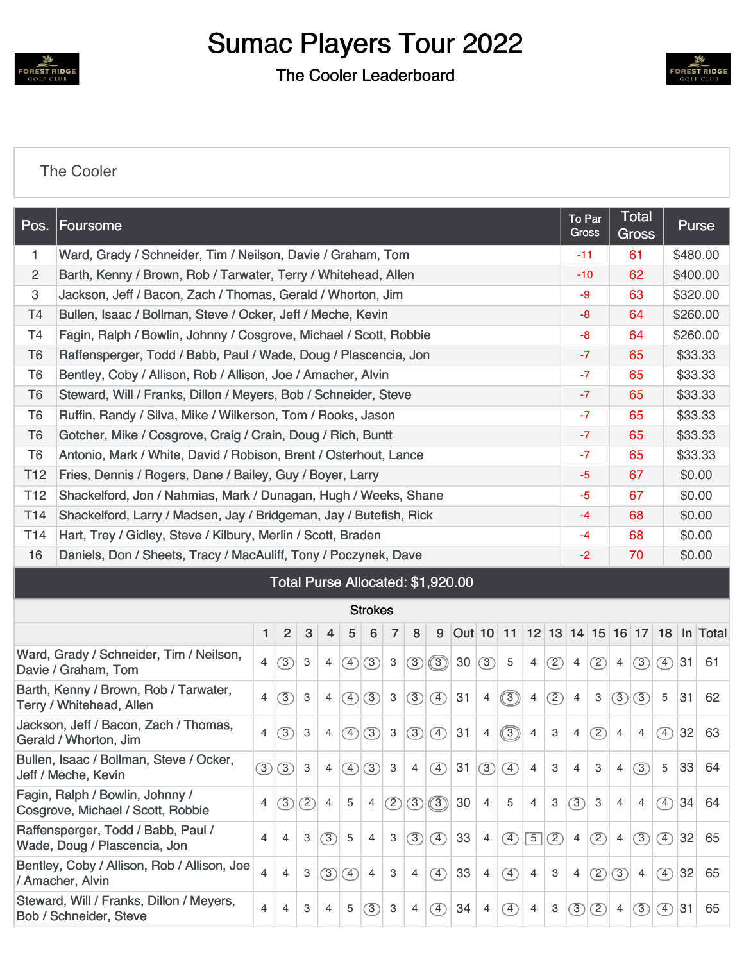

## Sumac Players Tour 2022

The Cooler Leaderboard



## [The Cooler](https://cdn2.golfgenius.com/v2tournaments/8166516265775554726?called_from=&round_index=1)

| Pos.            | Foursome                                                           |                |                |   |                |                                   |                |                |     |   |           |     | <b>To Par</b><br><b>Gross</b> |                | <b>Total</b><br><b>Gross</b> |                | <b>Purse</b> |                |                   |                      |        |          |  |
|-----------------|--------------------------------------------------------------------|----------------|----------------|---|----------------|-----------------------------------|----------------|----------------|-----|---|-----------|-----|-------------------------------|----------------|------------------------------|----------------|--------------|----------------|-------------------|----------------------|--------|----------|--|
| 1.              | Ward, Grady / Schneider, Tim / Neilson, Davie / Graham, Tom        |                |                |   |                |                                   |                |                |     |   |           |     |                               |                | $-11$                        |                | 61           |                | \$480.00          |                      |        |          |  |
| 2               | Barth, Kenny / Brown, Rob / Tarwater, Terry / Whitehead, Allen     |                |                |   |                |                                   |                |                |     |   |           |     |                               |                | $-10$                        |                |              | 62             |                   | \$400.00             |        |          |  |
| 3               | Jackson, Jeff / Bacon, Zach / Thomas, Gerald / Whorton, Jim        |                |                |   |                |                                   |                |                |     |   |           |     |                               |                | -9                           |                |              | 63             |                   | \$320.00             |        |          |  |
| T4              | Bullen, Isaac / Bollman, Steve / Ocker, Jeff / Meche, Kevin        |                |                |   |                |                                   |                |                |     |   |           |     |                               |                | $-8$                         |                |              | 64             |                   | \$260.00             |        |          |  |
| T4              | Fagin, Ralph / Bowlin, Johnny / Cosgrove, Michael / Scott, Robbie  |                |                |   |                |                                   |                |                |     |   |           |     |                               |                | -8                           |                | 64           |                |                   | \$260.00             |        |          |  |
| T <sub>6</sub>  | Raffensperger, Todd / Babb, Paul / Wade, Doug / Plascencia, Jon    |                |                |   |                |                                   |                |                |     |   |           |     |                               |                | $-7$                         |                | 65           |                |                   | \$33.33              |        |          |  |
| T <sub>6</sub>  | Bentley, Coby / Allison, Rob / Allison, Joe / Amacher, Alvin       |                |                |   |                |                                   |                |                |     |   |           |     |                               | $-7$           |                              |                | 65           |                | \$33.33           |                      |        |          |  |
| T <sub>6</sub>  | Steward, Will / Franks, Dillon / Meyers, Bob / Schneider, Steve    |                |                |   |                |                                   |                |                |     |   |           |     |                               | $-7$           |                              |                | 65           |                | \$33.33           |                      |        |          |  |
| T <sub>6</sub>  | Ruffin, Randy / Silva, Mike / Wilkerson, Tom / Rooks, Jason        |                |                |   |                |                                   |                |                |     |   |           |     |                               |                | $-7$                         |                |              |                | \$33.33           |                      |        |          |  |
| T <sub>6</sub>  | Gotcher, Mike / Cosgrove, Craig / Crain, Doug / Rich, Buntt        |                |                |   |                |                                   |                |                |     |   |           |     |                               | $-7$           |                              |                | 65           |                | \$33.33           |                      |        |          |  |
| T <sub>6</sub>  | Antonio, Mark / White, David / Robison, Brent / Osterhout, Lance   |                |                |   |                |                                   |                |                |     |   |           |     |                               | $-7$           |                              |                | 65           |                | \$33.33           |                      |        |          |  |
| T <sub>12</sub> | Fries, Dennis / Rogers, Dane / Bailey, Guy / Boyer, Larry          |                |                |   |                |                                   |                |                |     |   |           |     |                               |                | $-5$                         |                |              | 67             |                   | \$0.00               |        |          |  |
| T <sub>12</sub> | Shackelford, Jon / Nahmias, Mark / Dunagan, Hugh / Weeks, Shane    |                |                |   |                |                                   |                |                |     |   |           |     |                               |                | $-5$                         |                | 67           |                | \$0.00            |                      |        |          |  |
| T <sub>14</sub> | Shackelford, Larry / Madsen, Jay / Bridgeman, Jay / Butefish, Rick |                |                |   |                |                                   |                |                |     |   |           |     |                               |                |                              | $-4$           |              | 68             |                   | \$0.00               |        |          |  |
| T <sub>14</sub> | Hart, Trey / Gidley, Steve / Kilbury, Merlin / Scott, Braden       |                |                |   |                |                                   |                |                |     |   |           |     |                               |                |                              | $-4$           |              | 68             |                   |                      | \$0.00 |          |  |
| 16              | Daniels, Don / Sheets, Tracy / MacAuliff, Tony / Poczynek, Dave    |                |                |   |                |                                   |                |                |     |   |           |     |                               |                |                              | $-2$           |              |                | 70                |                      | \$0.00 |          |  |
|                 |                                                                    |                |                |   |                | Total Purse Allocated: \$1,920.00 |                |                |     |   |           |     |                               |                |                              |                |              |                |                   |                      |        |          |  |
|                 |                                                                    |                |                |   |                |                                   | <b>Strokes</b> |                |     |   |           |     |                               |                |                              |                |              |                |                   |                      |        |          |  |
|                 |                                                                    | 1              | $\overline{2}$ | 3 | 4              | 5                                 | 6              | $\overline{7}$ | 8   | 9 | Out 10 11 |     |                               |                |                              |                |              |                |                   | 12 13 14 15 16 17 18 |        | In Total |  |
|                 | Ward, Grady / Schneider, Tim / Neilson,<br>Davie / Graham, Tom     | $\overline{4}$ | (3)            | 3 | $\overline{4}$ | $\circled{4}$                     | (3)            | 3              | (3) |   | 30        | (3) | 5                             | $\overline{4}$ | (2)                          | $\overline{4}$ | (2)          | $\overline{4}$ | $\left( 3\right)$ | $(4)$ 31             |        | 61       |  |
|                 | Dorth Konny / Drown Dob / Tonyotor                                 |                |                |   |                |                                   |                |                |     |   |           |     |                               |                |                              |                |              |                |                   |                      |        |          |  |

| Davie / Granam, Tom                                                  |                         |                |              |                |                              |                |              |                |                              |    |                |                              |                |     |                |     |                |                |                              |    |    |
|----------------------------------------------------------------------|-------------------------|----------------|--------------|----------------|------------------------------|----------------|--------------|----------------|------------------------------|----|----------------|------------------------------|----------------|-----|----------------|-----|----------------|----------------|------------------------------|----|----|
| Barth, Kenny / Brown, Rob / Tarwater,<br>Terry / Whitehead, Allen    | 4                       | (3)            | 3            | $\overline{4}$ | $\mathcal{F}$                | (3)            | 3            | (3)            | $\left( \overline{4}\right)$ | 31 | $\overline{4}$ | $\circled{3}$                | $\overline{4}$ | (2) | $\overline{4}$ | 3   | (3)            | (3)            | 5                            | 31 | 62 |
| Jackson, Jeff / Bacon, Zach / Thomas,<br>Gerald / Whorton, Jim       | $\overline{4}$          | (3)            | 3            | $\overline{4}$ | $\mathcal{F}$                | (3)            | $\mathbf{3}$ | (3)            | $\left( \overline{4}\right)$ | 31 | $\overline{4}$ | $\circled{3}$                | $\overline{4}$ | 3   | $\overline{4}$ | (2) | $\overline{4}$ | $\overline{4}$ | $\left( \overline{4}\right)$ | 32 | 63 |
| Bullen, Isaac / Bollman, Steve / Ocker,<br>Jeff / Meche, Kevin       | $\circled{3}$           | (3)            | $\mathbf{3}$ | $\overline{4}$ | $\mathcal{F}$                | (3)            | 3            | $\overline{4}$ | $\left( \overline{4}\right)$ | 31 | (3)            | $\left( \overline{4}\right)$ | $\overline{4}$ | 3   | $\overline{4}$ | 3   | $\overline{4}$ | (3)            | 5                            | 33 | 64 |
| Fagin, Ralph / Bowlin, Johnny /<br>Cosgrove, Michael / Scott, Robbie | 4                       | $\circled{3}$  | (2)          | $\overline{4}$ | 5                            | $\overline{4}$ | (2)          | $\sqrt{3}$     | $\circled{3}$                | 30 | $\overline{4}$ | 5                            | $\overline{4}$ | 3   | (3)            | 3   | 4              | $\overline{4}$ | $\left( \overline{4}\right)$ | 34 | 64 |
| Raffensperger, Todd / Babb, Paul /<br>Wade, Doug / Plascencia, Jon   | 4                       | $\overline{4}$ | 3            | $\circled{3}$  | 5                            | $\overline{4}$ | 3            | (3)            | $\circ$                      | 33 | $\overline{4}$ | $\circled{4}$                | $\overline{5}$ | (2) | $\overline{4}$ | (2) | $\overline{4}$ | (3)            | $\mathcal{F}$                | 32 | 65 |
| Bentley, Coby / Allison, Rob / Allison, Joe<br>/ Amacher, Alvin      | $\overline{\mathbf{4}}$ | $\overline{4}$ | 3            | $\circled{3}$  | $\left( \overline{4}\right)$ | $\overline{4}$ | 3            | $\overline{4}$ | $\left( \overline{4}\right)$ | 33 | $\overline{4}$ | $\left( \overline{4}\right)$ | $\overline{4}$ | 3   | $\overline{4}$ | (2) | $\circ$        | $\overline{4}$ | $\circ$                      | 32 | 65 |
| Steward, Will / Franks, Dillon / Meyers,<br>Bob / Schneider, Steve   | 4                       | 4              | 3            | $\overline{4}$ | 5                            | 3              | 3            | $\overline{4}$ | $\circ$                      | 34 | 4              | T)                           | $\overline{4}$ | 3   | 3              | (2) | $\overline{4}$ | 3              | $\left(4\right)$             | 31 | 65 |